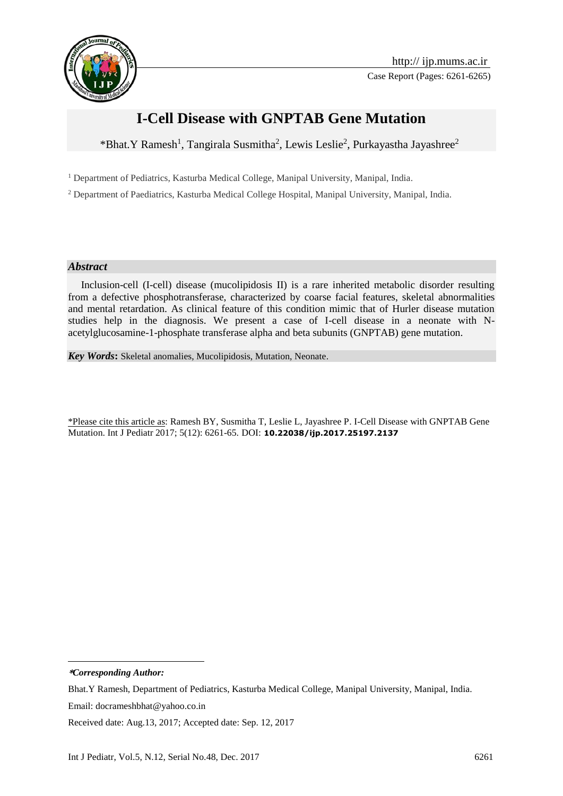

# **I-Cell Disease with GNPTAB Gene Mutation**

\*Bhat.Y Ramesh<sup>1</sup>, Tangirala Susmitha<sup>2</sup>, Lewis Leslie<sup>2</sup>, Purkayastha Jayashree<sup>2</sup>

<sup>1</sup> Department of Pediatrics, Kasturba Medical College, Manipal University, Manipal, India.

<sup>2</sup> Department of Paediatrics, Kasturba Medical College Hospital, Manipal University, Manipal, India.

#### *Abstract*

 Inclusion-cell (I-cell) disease (mucolipidosis II) is a rare inherited metabolic disorder resulting from a defective phosphotransferase, characterized by coarse facial features, skeletal abnormalities and mental retardation. As clinical feature of this condition mimic that of Hurler disease mutation studies help in the diagnosis. We present a case of I-cell disease in a neonate with Nacetylglucosamine-1-phosphate transferase alpha and beta subunits (GNPTAB) gene mutation.

*Key Words***:** Skeletal anomalies, Mucolipidosis, Mutation, Neonate.

\*Please cite this article as: Ramesh BY, Susmitha T, Leslie L, Jayashree P. I-Cell Disease with GNPTAB Gene Mutation. Int J Pediatr 2017; 5(12): 6261-65. DOI: **10.22038/ijp.2017.25197.2137**

**\****Corresponding Author:*

1

Received date: Aug.13, 2017; Accepted date: Sep. 12, 2017

Bhat.Y Ramesh, Department of Pediatrics, Kasturba Medical College, Manipal University, Manipal, India. Email: docrameshbhat@yahoo.co.in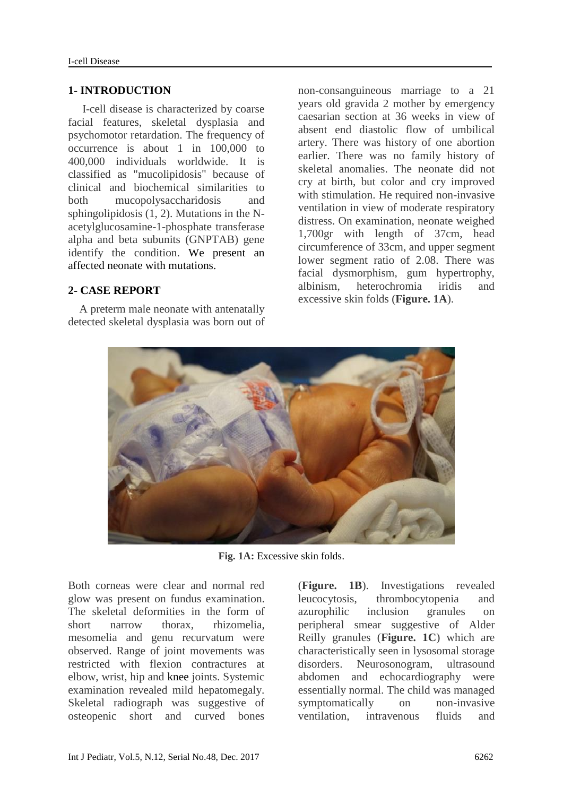#### **1- INTRODUCTION**

 I-cell disease is characterized by coarse facial features, skeletal dysplasia and psychomotor retardation. The frequency of occurrence is about 1 in 100,000 to 400,000 individuals worldwide. It is classified as "mucolipidosis" because of clinical and biochemical similarities to both mucopolysaccharidosis and sphingolipidosis (1, 2). Mutations in the Nacetylglucosamine-1-phosphate transferase alpha and beta subunits (GNPTAB) gene identify the condition. We present an affected neonate with mutations.

## **2- CASE REPORT**

 A preterm male neonate with antenatally detected skeletal dysplasia was born out of non-consanguineous marriage to a 21 years old gravida 2 mother by emergency caesarian section at 36 weeks in view of absent end diastolic flow of umbilical artery. There was history of one abortion earlier. There was no family history of skeletal anomalies. The neonate did not cry at birth, but color and cry improved with stimulation. He required non-invasive ventilation in view of moderate respiratory distress. On examination, neonate weighed 1,700gr with length of 37cm, head circumference of 33cm, and upper segment lower segment ratio of 2.08. There was facial dysmorphism, gum hypertrophy, albinism, heterochromia iridis and excessive skin folds (**Figure. 1A**).



**Fig. 1A:** Excessive skin folds.

Both corneas were clear and normal red glow was present on fundus examination. The skeletal deformities in the form of short narrow thorax, rhizomelia, mesomelia and genu recurvatum were observed. Range of joint movements was restricted with flexion contractures at elbow, wrist, hip and knee joints. Systemic examination revealed mild hepatomegaly. Skeletal radiograph was suggestive of osteopenic short and curved bones

(**Figure. 1B**). Investigations revealed leucocytosis, thrombocytopenia and azurophilic inclusion granules on peripheral smear suggestive of Alder Reilly granules (**Figure. 1C**) which are characteristically seen in lysosomal storage disorders. Neurosonogram, ultrasound abdomen and echocardiography were essentially normal. The child was managed symptomatically on non-invasive ventilation, intravenous fluids and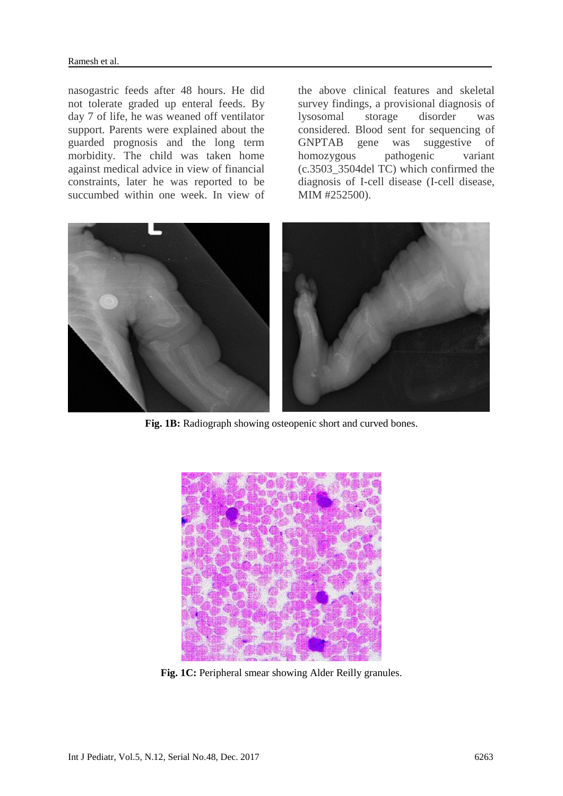nasogastric feeds after 48 hours. He did not tolerate graded up enteral feeds. By day 7 of life, he was weaned off ventilator support. Parents were explained about the guarded prognosis and the long term morbidity. The child was taken home against medical advice in view of financial constraints, later he was reported to be succumbed within one week. In view of

the above clinical features and skeletal survey findings, a provisional diagnosis of lysosomal storage disorder was considered. Blood sent for sequencing of GNPTAB gene was suggestive of homozygous pathogenic variant (c.3503\_3504del TC) which confirmed the diagnosis of I-cell disease (I-cell disease, MIM #252500).



**Fig. 1B:** Radiograph showing osteopenic short and curved bones.



**Fig. 1C:** Peripheral smear showing Alder Reilly granules.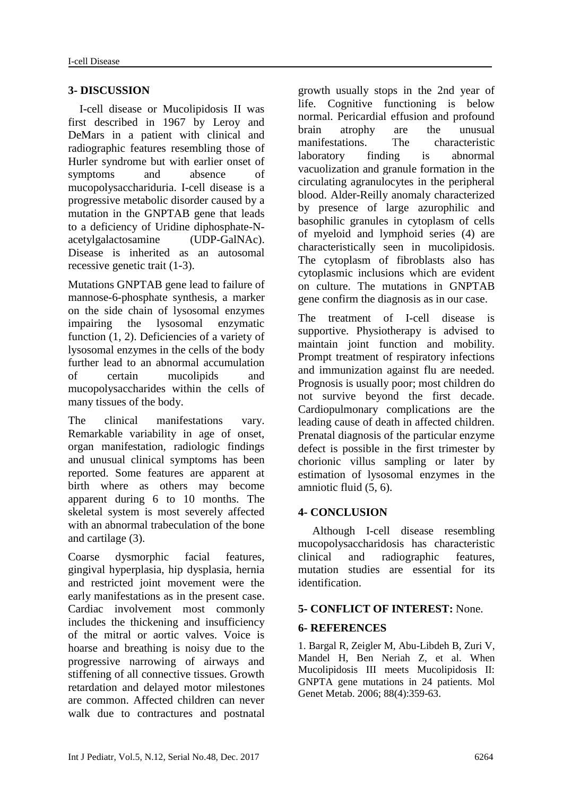## **3- DISCUSSION**

 I-cell disease or Mucolipidosis II was first described in 1967 by Leroy and DeMars in a patient with clinical and radiographic features resembling those of Hurler syndrome but with earlier onset of symptoms and absence of mucopolysacchariduria. I-cell disease is a progressive metabolic disorder caused by a mutation in the GNPTAB gene that leads to a deficiency of Uridine diphosphate-Nacetylgalactosamine (UDP-GalNAc). Disease is inherited as an autosomal recessive genetic trait (1-3).

Mutations GNPTAB gene lead to failure of mannose-6-phosphate synthesis, a marker on the side chain of lysosomal enzymes impairing the lysosomal enzymatic function (1, 2). Deficiencies of a variety of lysosomal enzymes in the cells of the body further lead to an abnormal accumulation of certain mucolipids and mucopolysaccharides within the cells of many tissues of the body.

The clinical manifestations vary. Remarkable variability in age of onset, organ manifestation, radiologic findings and unusual clinical symptoms has been reported. Some features are apparent at birth where as others may become apparent during 6 to 10 months. The skeletal system is most severely affected with an abnormal trabeculation of the bone and cartilage (3).

Coarse dysmorphic facial features, gingival hyperplasia, hip dysplasia, hernia and restricted joint movement were the early manifestations as in the present case. Cardiac involvement most commonly includes the thickening and insufficiency of the mitral or aortic valves. Voice is hoarse and breathing is noisy due to the progressive narrowing of airways and stiffening of all connective tissues. Growth retardation and delayed motor milestones are common. Affected children can never walk due to contractures and postnatal growth usually stops in the 2nd year of life. Cognitive functioning is below normal. Pericardial effusion and profound brain atrophy are the unusual manifestations. The characteristic laboratory finding is abnormal vacuolization and granule formation in the circulating agranulocytes in the peripheral blood. Alder-Reilly anomaly characterized by presence of large azurophilic and basophilic granules in cytoplasm of cells of myeloid and lymphoid series (4) are characteristically seen in mucolipidosis. The cytoplasm of fibroblasts also has cytoplasmic inclusions which are evident on culture. The mutations in GNPTAB gene confirm the diagnosis as in our case.

The treatment of I-cell disease is supportive. Physiotherapy is advised to maintain joint function and mobility. Prompt treatment of respiratory infections and immunization against flu are needed. Prognosis is usually poor; most children do not survive beyond the first decade. Cardiopulmonary complications are the leading cause of death in affected children. Prenatal diagnosis of the particular enzyme defect is possible in the first trimester by chorionic villus sampling or later by estimation of lysosomal enzymes in the amniotic fluid (5, 6).

## **4- CONCLUSION**

 Although I-cell disease resembling mucopolysaccharidosis has characteristic clinical and radiographic features, mutation studies are essential for its identification.

## **5- CONFLICT OF INTEREST:** None.

## **6- REFERENCES**

1. Bargal R, Zeigler M, Abu-Libdeh B, Zuri V, Mandel H, Ben Neriah Z, et al. [When](https://www.ncbi.nlm.nih.gov/pubmed/16630736)  [Mucolipidosis III meets Mucolipidosis II:](https://www.ncbi.nlm.nih.gov/pubmed/16630736)  [GNPTA gene mutations in 24 patients.](https://www.ncbi.nlm.nih.gov/pubmed/16630736) Mol Genet Metab. 2006; 88(4):359-63.